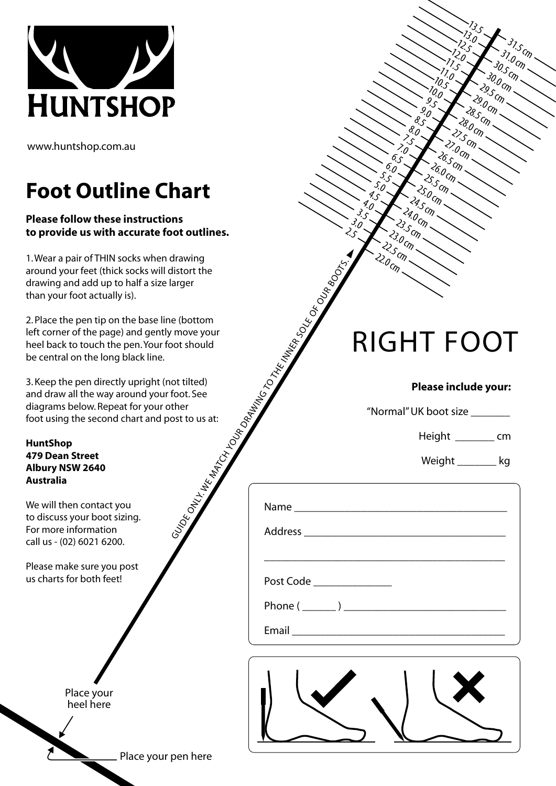

www.huntshop.com.au

## **Foot Outline Chart**

## **Please follow these instructions to provide us with accurate foot outlines.**

1. Wear a pair of THIN socks when drawing around your feet (thick socks will distort the drawing and add up to half a size larger than your foot actually is).

2. Place the pen tip on the base line (bottom left corner of the page) and gently move your heel back to touch the pen. Your foot should be central on the long black line.

3. Keep the pen directly upright (not tilted) and draw all the way around your foot. See diagrams below. Repeat for your other foot using the second chart and post to us at:

**HuntShop 479 Dean Street Albury NSW 2640 Australia**

We will then contact you to discuss your boot sizing. For more information call us - (02) 6021 6200.

Please make sure you post us charts for both feet!

> Place your heel here

|                                                                                                                                                                                                                                | $\sim$ $\sim$                  |
|--------------------------------------------------------------------------------------------------------------------------------------------------------------------------------------------------------------------------------|--------------------------------|
| And Control Inc. of the Control Inc. of the Control Inc. of the Control Inc. of the Control Inc. of the Control Inc. of the Control Inc. of the Control Inc. of the Control Inc. of the Control Inc. of the Control Inc. of th | <b>RIGHT FOOT</b>              |
|                                                                                                                                                                                                                                | Please include your:           |
|                                                                                                                                                                                                                                | "Normal" UK boot size ________ |
|                                                                                                                                                                                                                                | Height ____________ cm         |
|                                                                                                                                                                                                                                | Weight __________ kg           |
|                                                                                                                                                                                                                                |                                |
|                                                                                                                                                                                                                                |                                |
| Post Code ________________                                                                                                                                                                                                     |                                |
|                                                                                                                                                                                                                                |                                |
|                                                                                                                                                                                                                                |                                |

 $\stackrel{2}{\sim}o_{C\!f\!\eta}$ 

22.5 cm  $23.0$  cm  $2s_{5}$ cm 24.0 cm 24.5 cm  $25.0_{C/D}$  $25$ S 26.0 cm  $26.5$  CM  $27.0_{C/D}$  $27.5$  cm 28.0 cm 28.5 cm  $29.0_{C\!f\eta}$  $29.5$  CM 30.0 cm 30.5 cm  $31.0$  cm.  $31.5$  cm  $\sim$ 

 $\zeta$  $\mathcal{E}_{\mathcal{O}}$ ې<br>ک 4.0 4.5 5.0  $\mathfrak{L}_\mathcal{S}$  $\mathcal{C}_O$ 6.5 7.0  $\lesssim$  $\overset{\theta}{\cdot}\overset{\circ}{\theta}$  $\mathcal{E}_{\mathcal{S}}$  $\overset{9}{\ldots}$  $\frac{9}{5}$ 10.0  $\frac{70.5}{5}$  $\frac{7}{0}$  $\frac{7}{5}$  $\heartsuit_o$  $\mathbb{R}^3$  $\frac{73.0}{5}$  $\frac{1}{3}$ .5

Email \_\_\_\_\_\_\_\_\_\_\_\_\_\_\_\_\_\_\_\_\_\_\_\_\_\_\_\_\_\_\_\_\_\_\_\_\_\_



## Place your pen here